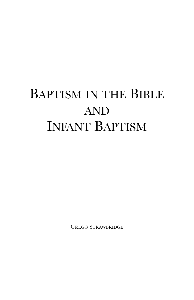# BAPTISM IN THE BIBLE AND INFANT BAPTISM

GREGG STRAWBRIDGE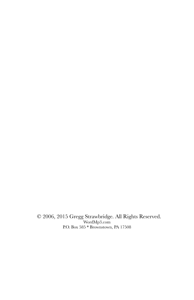© 2006, 2015 Gregg Strawbridge. All Rights Reserved. WordMp3.com P.O. Box 585 \* Brownstown, PA 17508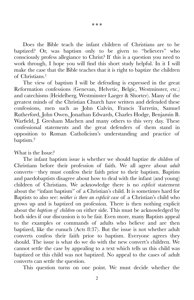Does the Bible teach the infant children of Christians are to be baptized? Or, was baptism only to be given to "believers" who consciously profess allegiance to Christ? If this is a question you need to work through, I hope you will find this short study helpful. In it I will make the case that the Bible teaches that it is right to baptize the children of Christians.<sup>1</sup>

The view of baptism I will be defending is expressed in the great Reformation confessions (Genevan, Helvetic, Belgic, Westminster, etc.) and catechisms (Heidelberg, Westminster Larger & Shorter). Many of the greatest minds of the Christian Church have written and defended these confessions, men such as John Calvin, Francis Turretin, Samuel Rutherford, John Owen, Jonathan Edwards, Charles Hodge, Benjamin B. Warfield, J. Gresham Machen and many others to this very day. These confessional statements and the great defenders of them stand in opposition to Roman Catholicism's understanding and practice of baptism.2

What is the Issue?

The infant baptism issue is whether we should baptize *the children* of Christians before their profession of faith. We all agree about *adult* converts—they must confess their faith prior to their baptism. Baptists and paedobaptists disagree about how to deal with the infant (and young) children of Christians. We acknowledge there is no *explicit* statement about the "infant baptism" of a Christian's child. It is sometimes hard for Baptists to also see: *neither is there an explicit case* of a Christian's child who grows up and is baptized on profession*.* There is then nothing explicit about the *baptism of children* on either side. This must be acknowledged by both sides if our discussion is to be fair. Even more, many Baptists appeal to the examples or commands of adults who believe and are then baptized, like the eunuch (Acts 8:37). But the issue is not whether adult converts confess their faith prior to baptism. Everyone agrees they should. The issue is what do we do with the new convert's children. We cannot settle the case by appealing to a text which tells us this child was baptized or this child was not baptized. No appeal to the cases of adult converts can settle the question.

This question turns on one point. We must decide whether the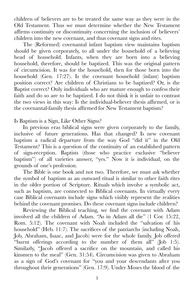children of believers are to be treated the same way as they were in the Old Testament. Thus we must determine whether the New Testament affirms continuity or discontinuity concerning the inclusion of believers' children into the new covenant, and thus covenant signs and rites.

The (Reformed) covenantal infant baptism view maintains baptism should be given corporately, to all under the household of a believing head of household. Infants, when they are born into a believing household, therefore, should be baptized. This was the original pattern of circumcision. It was for the household, then for those born into the household (Gen. 17:27). Is the covenant household (infant) baptism position correct? Are children of Christians to be baptized? Or, is the Baptist correct? Only individuals who are mature enough to confess their faith and do so are to be baptized. I do not think it is unfair to contrast the two views in this way: Is the individual-believer thesis affirmed, or is the covenantal-family thesis affirmed for New Testament baptism?

Is Baptism is a Sign, Like Other Signs?

In previous eras biblical signs were given corporately to the family, inclusive of future generations. Has that changed? Is new covenant baptism a radical departure from the way God "did it" in the Old Testament? This is a question of the continuity of an established pattern of sign-reception. Baptists (those who practice exclusive "believer baptism") of all varieties answer, "yes." Now it is individual, on the grounds of one's profession.

The Bible is one book and not two. Therefore, we must ask whether the symbol of baptism as an outward ritual is similar to other faith rites in the older portion of Scripture. Rituals which involve a symbolic act, such as baptism, are connected to Biblical covenants. In virtually every case Biblical covenants include signs which visibly represent the realities behind the covenant promises. Do these covenant signs include children?

Reviewing the Biblical teaching, we find the covenant with Adam involved all the children of Adam. "As in Adam all die" (1 Cor. 15:22, Rom. 5:12). The covenant with Noah included the "salvation of his household" (Heb. 11:7). The sacrifices of the patriarchs (including Noah, Job, Abraham, Isaac, and Jacob) were for the whole family. Job offered "burnt offerings according to the number of them all" (Job 1:5). Similarly, "Jacob offered a sacrifice on the mountain, and called his kinsmen to the meal" (Gen. 31:54). Circumcision was given to Abraham as a sign of God's covenant for "you and your descendants after you throughout their generations" (Gen. 17:9). Under Moses the blood of the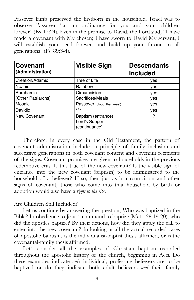Passover lamb preserved the firstborn in the household. Israel was to observe Passover "as an ordinance for you and your children forever" (Ex.12:24). Even in the promise to David, the Lord said, "I have made a covenant with My chosen; I have sworn to David My servant, I will establish your seed forever, and build up your throne to all generations" (Ps. 89:3-4).

| <b>Covenant</b><br>(Administration) | <b>Visible Sign</b>                                  | <b>Descendants</b><br><b>Included</b> |
|-------------------------------------|------------------------------------------------------|---------------------------------------|
| Creation/Adamic                     | Tree of Life                                         | yes                                   |
| <b>Noahic</b>                       | Rainbow                                              | yes                                   |
| Abrahamic<br>(Other Patriarchs)     | Circumcision<br>Sacrifices/Meals                     | yes<br><b>ves</b>                     |
| Mosaic                              | Passover (blood, then meal)                          | yes                                   |
| Davidic                             | $***$                                                | yes                                   |
| <b>New Covenant</b>                 | Baptism (entrance)<br>Lord's Supper<br>(continuance) | ?                                     |

Therefore, in every case in the Old Testament, the pattern of covenant administration includes a principle of family inclusion and successive generations in both covenant content and covenant recipients of the signs. Covenant promises are given to households in the previous redemptive eras. Is this true of the new covenant? Is the visible sign of entrance into the new covenant (baptism) to be administered to the household of a believer? If so, then just as in circumcision and other signs of covenant, those who come into that household by birth or adoption would also have a *right to the rite*.

#### Are Children Still Included?

Let us continue by answering the question, Who was baptized in the Bible? In obedience to Jesus's command to baptize (Matt. 28:19-20), who did the apostles baptize? By their actions, how did they apply the call to enter into the new covenant? In looking at all the actual recorded cases of apostolic baptism, is the individualist-baptist thesis affirmed, or is the covenantal-family thesis affirmed?

Let's consider all the examples of Christian baptism recorded throughout the apostolic history of the church, beginning in Acts. Do these examples indicate *only* individual, professing believers are to be baptized or do they indicate both adult believers *and* their family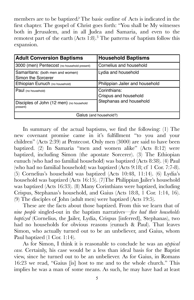members are to be baptized*?* The basic outline of Acts is indicated in the first chapter. The gospel of Christ goes forth: "You shall be My witnesses both in Jerusalem, and in all Judea and Samaria, and even to the remotest part of the earth  $(Acts 1:8).$ <sup>3</sup> The patterns of baptism follow this expansion.

| <b>Adult Conversion Baptisms</b>                       | <b>Household Baptisms</b>                                        |  |
|--------------------------------------------------------|------------------------------------------------------------------|--|
| 3000 (men) Pentecost (no household present)            | Cornelius and household                                          |  |
| Samaritans: (both men and women)<br>Simon the Sorcerer | Lydia and household                                              |  |
| Ethiopian Eunuch (no household)                        | Philippian Jailer and household                                  |  |
| Paul (no household)                                    | Corinthians:<br>Crispus and household<br>Stephanas and household |  |
| Disciples of John (12 men) (no household<br>present)   |                                                                  |  |
| Gaius (and household?)                                 |                                                                  |  |

In summary of the actual baptisms, we find the following: (1) The new covenant promise came in it's fulfillment "to you and your children" (Acts 2:39) at Pentecost. Only men (3000) are said to have been baptized. (2) In Samaria "men and women alike" (Acts 8:12) were baptized, including Simon (the apostate Sorcerer). (3) The Ethiopian eunuch (who had no familial household) was baptized (Acts 8:38). (4) Paul (who had no familial household) was baptized (Acts 9:18; cf 1 Cor. 7:7-8). (5) Cornelius's household was baptized (Acts 10:48, 11:14). (6) Lydia's household was baptized (Acts 16:15). (7)The Philippian Jailer's household was baptized (Acts 16:33). (8) Many Corinthians were baptized, including Crispus, Stephanas's household, and Gaius (Acts 18:8, 1 Cor. 1:14, 16). (9) The disciples of John (adult men) were baptized (Acts 19:5).

These are the facts about those baptized. From this we learn that of *nine people* singled-out in the baptism narratives—*five had their households baptized* (Cornelius, the Jailer, Lydia, Crispus [inferred], Stephanas), two had no households for obvious reasons (eunuch & Paul). That leaves Simon, who actually turned out to be an unbeliever, and Gaius, whom Paul baptized (1 Cor. 1:14).

As for Simon, I think it is reasonable to conclude he was an *atypical case.* Certainly, his case would be a less than ideal basis for the Baptist view, since he turned out to be an unbeliever. As for Gaius, in Romans 16:23 we read, "Gaius [is] host to me and to the whole church." This implies he was a man of some means. As such, he may have had at least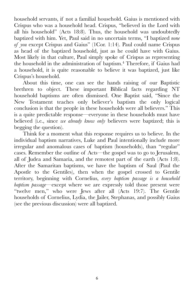household servants, if not a familial household. Gaius is mentioned with Crispus who was a household head. Crispus, "believed in the Lord with all his household" (Acts 18:8). Thus, the household was undoubtedly baptized with him. Yet, Paul said in no uncertain terms, "I baptized *none of you* except Crispus and Gaius" (1Cor. 1:14). Paul could name Crispus as head of the baptized household, just as he could have with Gaius. Most likely in that culture, Paul simply spoke of Crispus as representing the household in the administration of baptism.<sup>4</sup> Therefore, if Gaius had a household, it is quite reasonable to believe it was baptized, just like Crispus's household.

About this time, one can see the hands raising of our Baptistic brethren to object. These important Biblical facts regarding NT household baptisms are often dismissed. One Baptist said, "Since the New Testament teaches only believer's baptism the only logical conclusion is that the people in these households were all believers." This is a quite predictable response—everyone in these households must have believed (i.e., since *we already know only* believers were baptized; this is begging the question).

Think for a moment what this response requires us to believe. In the individual baptism narratives, Luke and Paul intentionally include more irregular and anomalous cases of baptism (households), than "regular" cases. Remember the outline of Acts—the gospel was to go to Jerusalem, all of Judea and Samaria, and the remotest part of the earth (Acts 1:8). After the Samaritan baptisms, we have the baptism of Saul (Paul the Apostle to the Gentiles), then when the gospel crossed to Gentile territory, beginning with Cornelius, *every baptism passage is a household baptism passage—*except where we are expressly told those present were "twelve men," who were Jews after all (Acts 19:7). The Gentile households of Cornelius, Lydia, the Jailer, Stephanas, and possibly Gaius (see the previous discussion) were all baptized.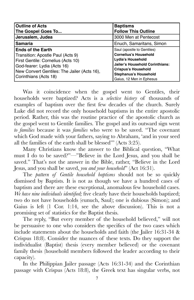| <b>Outline of Acts</b><br>The Gospel Goes To                                                                                                                                                               | <b>Baptisms</b><br><b>Follow This Outline</b>                                                                                                                                                                       |
|------------------------------------------------------------------------------------------------------------------------------------------------------------------------------------------------------------|---------------------------------------------------------------------------------------------------------------------------------------------------------------------------------------------------------------------|
| Jerusalem, Judea                                                                                                                                                                                           | 3000 Men at Pentecost                                                                                                                                                                                               |
| <b>Samaria</b>                                                                                                                                                                                             | Enuch, Samaritans, Simon                                                                                                                                                                                            |
| <b>Ends of the Earth</b><br>Transition: Apostle Paul (Acts 9)<br>First Gentile: Cornelius (Acts 10)<br>God-fearer: Lydia (Acts 16)<br>New Convert Gentiles: The Jailer (Acts 16),<br>Corinthians (Acts 18) | Saul (apostle to Gentiles)<br><b>Cornelius's Household</b><br>Lydia's Household<br><b>Jailer's Household Corinthians:</b><br><b>Crispus's Household</b><br><b>Stephanus's Household</b><br>Gaius, 12 Men in Ephesus |

Was it coincidence when the gospel went to Gentiles, their households were baptized? Acts is a *selective history* of thousands of examples of baptism over the first few decades of the church. Surely Luke did not record the only household baptisms in the entire apostolic period. Rather, this was the routine practice of the apostolic church as the gospel went to Gentile families. The gospel and its outward sign went *to families* because it was *families* who were to be saved. "The covenant which God made with your fathers, saying to Abraham, 'and in your seed all the families of the earth shall be blessed'" (Acts 3:25).

Many Christians know the answer to the Biblical question, "What must I do to be saved?"—"Believe in the Lord Jesus, and you shall be saved." That's not the answer in the Bible, rather, "Believe in the Lord Jesus, and you shall be saved, *you and your household*" (Act 16:31).

The *pattern of Gentile household baptisms* should not be so quickly dismissed by Baptists. It is not as though we have a hundred cases of baptism and there are these exceptional, anomalous few household cases. *We have nine individuals identified;* five clearly have their households baptized; two do not have households (eunuch, Saul); one is dubious (Simon); and Gaius is left (1 Cor. 1:14, see the above discussion). This is not a promising set of statistics for the Baptist thesis.

The reply, "But every member of the household believed," will not be persuasive to one who considers the specifics of the two cases which include statements about the households and faith (the Jailer 16:31-34 & Crispus 18:8). Consider the nuances of these texts. Do they support the individualist (Baptist) thesis (every member believed) or the covenant family thesis (household members followed the leader according to their capacity).

In the Philippian Jailer passage (Acts 16:31-34) and the Corinthian passage with Crispus (Acts 18:8), the Greek text has singular verbs, not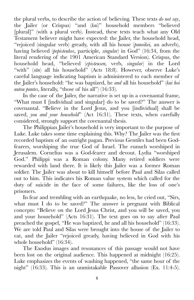the plural verbs, to describe the action of believing. These texts *do not say*, the Jailer (or Crispus) "and (*kai*)" household members "believed [plural]" (with a plural verb). Instead, these texts teach what any Old Testament believer might have expected: the Jailer, the household head, "rejoiced (singular verb) greatly, with all his house (*panoikei,* an adverb), having believed (*pepisteukos*, participle, *singular*) in God" (16:34, from the literal rendering of the 1901 American Standard Version). Crispus, the household head, "believed (*episteusen,* verb, *singular*) in the Lord "with" ( $s\bar{u}n$ ) all his household" (Acts 18:8). However, observe Luke's careful language indicating baptism is administered to each member of the Jailer's household: "he was baptized, he *and* all his household" (*kai hoi autou pantes*, literally, "those of his all") (16:33).

In the case of the Jailer, the narrative is set up in a covenantal frame, "What must I [individual and singular] do to be saved?" The answer is covenantal. "Believe in the Lord Jesus, and you [individual] shall be saved, *you and your household*" (Act 16:31). These texts, when carefully considered, strongly support the covenantal thesis.

The Philippian Jailer's household is very important to the purpose of Luke. Luke takes some time explaining this. Why? The Jailer was the first recorded baptism of an outright pagan. Previous Gentiles had been Godfearers, worshiping the true God of Israel. The eunuch worshiped in Jerusalem. Cornelius was a God-fearer and devout. Lydia "worshiped God." Philippi was a Roman colony. Many retired soldiers were rewarded with land there. It is likely this Jailer was a former Roman soldier. The Jailer was about to kill himself before Paul and Silas called out to him. This indicates his Roman value system which called for the duty of suicide in the face of some failures, like the loss of one's prisoners.

In fear and trembling with an earthquake, no less, he cried out, "Sirs, what must I do to be saved?" The answer is pregnant with Biblical concepts: "Believe on the Lord Jesus Christ, and you will be saved, you and your household" (Acts 16:31). The text goes on to say after Paul preached the gospel, "He was baptized, he and all his household" (16:33). We are told Paul and Silas were brought into the house of the Jailer to eat, and the Jailer "rejoiced greatly, having believed in God with his whole household" (16:34).

The Exodus images and resonances of this passage would not have been lost on the original audience. This happened at midnight (16:25). Luke emphasizes the events of washing happened, "the same hour of the night" (16:33). This is an unmistakable Passover allusion (Ex. 11:4-5).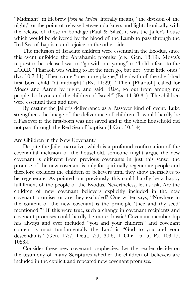"Midnight" in Hebrew [*tokh ha-laylah*] literally means, "the division of the night," or the point of release between darkness and light. Ironically, with the release of those in bondage (Paul & Silas), it was the Jailer's house which would be delivered by the blood of the Lamb to pass through the Red Sea of baptism and rejoice on the other side.

The inclusion of Israelite children were essential in the Exodus, since this event unfolded the Abrahamic promise (e.g., Gen. 18:19). Moses's request to be released was to "go with our young" to "hold a feast to the LORD." Pharaoh was willing to let the men go, but not "your little ones" (Ex. 10:7-11). Then came "one more plague," the death of the cherished first born child "at midnight" (Ex. 11:29). "Then [Pharaoh] called for Moses and Aaron by night, and said, 'Rise, go out from among my people, both you and the children of Israel'" (Ex. 11:30-31). The children were essential then and now.

By casting the Jailer's deliverance as a Passover kind of event, Luke strengthens the image of the deliverance of children. It would hardly be a Passover if the first-born was not saved and if the whole household did not pass through the Red Sea of baptism (1 Cor. 10:1-4).

Are Children in the New Covenant?

Despite the Jailer narrative, which is a profound confirmation of the covenantal inclusion of the household, someone might argue the new covenant is different from previous covenants in just this sense: the promise of the new covenant is only for spiritually regenerate people and therefore excludes the children of believers until they show themselves to be regenerate*.* As pointed out previously, this could hardly be a happy fulfillment of the people of the Exodus. Nevertheless, let us ask, Are the children of new covenant believers explicitly included in the new covenant promises or are they excluded? One writer says, "Nowhere in the content of the new covenant is the principle 'thee and thy seed' mentioned."<sup>5</sup> If this were true, such a change in covenant recipients and covenant promises could hardly be more drastic! Covenant membership has always and ever included "you and your children" and covenant content is most fundamentally the Lord is "God to you and your descendants" (Gen. 17:7, Deut. 7:9, 30:6, 1 Chr. 16:15, Ps. 103:17, 105:8).

Consider these new covenant prophecies. Let the reader decide on the testimony of many Scriptures whether the children of believers are included in the explicit and repeated new covenant promises.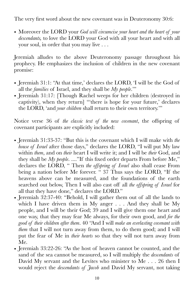The very first word about the new covenant was in Deuteronomy 30:6:

• Moreover the LORD your *God will circumcise your heart and the heart of your descendants,* to love the LORD your God with all your heart and with all your soul, in order that you may live . . .

Jeremiah alludes to the above Deuteronomy passage throughout his prophecy. He emphasizes the inclusion of children in the new covenant promise:

- Jeremiah 31:1: "At that time,' declares the LORD, 'I will be the God of all the *families* of Israel, and they shall be *My people*.'"
- Jeremiah 31:17: [Though Rachel weeps for her children (destroyed in captivity), when they return] "'there is hope for your future,' declares the LORD, 'and *your children* shall return to their own territory.'"

Notice verse 36 of *the classic text of the new covenant*, the offspring of covenant participants are explicitly included:

- Jeremiah 31:33-37: "But this is the covenant which I will make with *the house of Israel* after those days," declares the LORD, "I will put My law within *them*, and on *their* heart I will write it; and I will be *their* God, and they shall be *My people*. ...."If this fixed order departs From before Me," declares the LORD, " Then *the offspring of Israel* also shall cease From being a nation before Me forever. " 37 Thus says the LORD, "If the heavens above can be measured, and the foundations of the earth searched out below, Then I will also cast off all *the offspring of Israel* for all that they have done," declares the LORD."
- Jeremiah 32:37-40: "Behold, I will gather them out of all the lands to which I have driven them in My anger . . . And they shall be My people, and I will be their God; 39 and I will give them one heart and one way, that they may fear Me always, for their own good, and *for the good of their children after them*. 40 "And I will *make an everlasting covenant with them* that I will not turn away from them, to do them good; and I will put the fear of Me in *their hearts* so that they will not turn away from Me.
- Jeremiah 33:22-26: "As the host of heaven cannot be counted, and the sand of the sea cannot be measured, so I will multiply the *descendants* of David My servant and the Levites who minister to Me . . . 26 then I would reject the *descendants of Jacob* and David My servant, not taking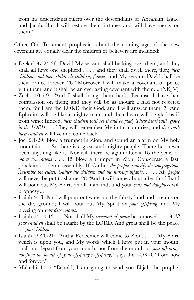from his descendants rulers over the descendants of Abraham, Isaac, and Jacob. But I will restore their fortunes and will have mercy on them."

Other Old Testament prophecies about the coming age of the new covenant are equally clear the children of believers are included:

- Ezekiel 37:24-26: David My servant shall be king over them, and they shall all have one shepherd . . . . and they shall dwell there, they, *their children, and their children's children, forever*; and My servant David shall be their prince forever. 26 "Moreover I will make a covenant of peace with them, and it shall be an everlasting covenant with them.... (NKJV)
- Zech. 10:6-9: "And I shall bring them back, Because I have had compassion on them; and they will be as though I had not rejected them, for I am the LORD their God, and I will answer them. 7 "And Ephraim will be like a mighty man, and their heart will be glad as if from wine; Indeed, *their children will see it and be glad, Their heart will rejoice in the LORD . . .* They will remember Me in far countries, and *they with their children* will live and come back.
- Joel 2:1-29: Blow a trumpet in Zion, and sound an alarm on My holy mountain! . . .So there is a great and mighty people; There has never been anything like it, Nor will there be again after it To the years of *many generations* . . . 15 Blow a trumpet in Zion, Consecrate a fast, proclaim a solemn assembly, 16 Gather *the people, sanctify the congregation, Assemble the elders, Gather the children and the nursing infants*. . . . . *My people* will never be put to shame. 28 "And it will come about after this That I will pour out My Spirit on all mankind; and your *sons and daughters* will prophesy....
- Isaiah 44:3: For I will pour out water on the thirsty land and streams on the dry ground; I will pour out My Spirit on *your offspring*, and My blessing on *your descendants*.
- Isaiah 54:10-13: . . .Nor shall My *covenant of peace* be removed . . .13 *All your children* shall be taught by the LORD, And great shall be the peace of *your children.*
- Isaiah 59:20-21: "And a Redeemer will come to Zion. . . ." My Spirit which is upon you, and My words which I have put in your mouth, shall not depart from your mouth, nor from the mouth of *your offspring, nor from the mouth of your offspring's offspring,"* says the LORD, "from now and forever."
- Malachi 4:5-6 "Behold, I am going to send you Elijah the prophet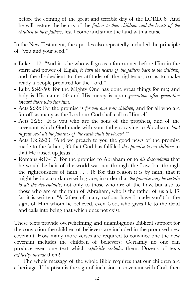before the coming of the great and terrible day of the LORD. 6 "And he will restore the hearts of the *fathers to their children, and the hearts of the children to their fathers*, lest I come and smite the land with a curse.

In the New Testament, the apostles also repeatedly included the principle of "you and your seed."

- Luke 1:17: "And it is he who will go as a forerunner before Him in the spirit and power of Elijah, *to turn the hearts of the fathers back to the children,*  and the disobedient to the attitude of the righteous; so as to make ready a people prepared for the Lord."
- Luke 2:49-50: For the Mighty One has done great things for me; and holy is His name. 50 and His mercy is upon *generation after generation toward those who fear him.*
- Acts 2:39: For the promise is *for you and your children,* and for all who are far off, as many as the Lord our God shall call to Himself.
- Acts 3:25: "It is you who are the sons of the prophets, and of the covenant which God made with your fathers, saying to Abraham, *'and in your seed all the families of the earth shall be blessed.'*"
- Acts 13:32-33: "And we preach to you the good news of the promise made to the fathers, 33 that God has fulfilled *this promise to our children* in that He raised up Jesus . . .
- Romans 4:13-17: For the promise to Abraham or to *his descendants* that he would be heir of the world was not through the Law, but through the righteousness of faith . . . 16 For this reason it is by faith, that it might be in accordance with grace, in order that *the promise may be certain to all the descendants*, not only to those who are of the Law, but also to those who are of the faith of Abraham, who is the father of us all, 17 (as it is written, "A father of many nations have I made you") in the sight of Him whom he believed, even God, who gives life to the dead and calls into being that which does not exist.

These texts provide overwhelming and unambiguous Biblical support for the conviction the children of believers are included in the promised new covenant. How many more verses are required to convince one the new covenant includes the children of believers? Certainly no one can produce even one text which *explicitly excludes* them. Dozens of texts *explicitly include* them!

The whole message of the whole Bible requires that our children are a heritage. If baptism is the sign of inclusion in covenant with God, then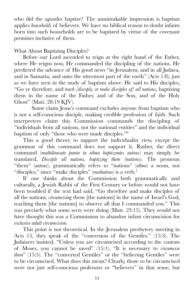who did the apostles baptize? The unmistakable impression is baptism applies *households* of believers. We have no biblical reason to doubt infants born into such households are to be baptized by virtue of the covenant promises inclusive of them.

What About Baptizing Disciples?

Before our Lord ascended to reign at the right hand of the Father, where He reigns now, He commanded the discipling of the nations. He predicted the advance of His good news "in Jerusalem, and in all Judaea, and in Samaria, and unto the uttermost part of the earth" (Acts 1:8), just as we have seen in the study of baptism above. He said to His disciples, "Go ye therefore, and *teach [disciple, or make disciples of] all nations*, baptizing them in the name of the Father, and of the Son, and of the Holy Ghost" (Matt. 28:19 KJV).

Some claim Jesus's command excludes anyone from baptism who is not a self-conscious disciple, making credible profession of faith. Such interpreters claim this Commission commands the discipling of "individuals from all nations, not the national entities" and the individual baptism of only "those who were made disciples."<sup>6</sup>

This a good theory to support the individualist view, except the grammar of this command does not support it. Rather, the direct command (*mathãteusate panta ta ethna baptizontes autous*) may simply be translated, *Disciple all nations, baptizing them (nations)*. The pronoun "them" (*autous*), grammatically refers to "nations" (*ethna*) a noun, not "disciples," since "make disciples" (*mathateuo*) is a verb.7

If one thinks about the Commission both grammatically and culturally, a Jewish Rabbi of the First Century or before would not have been troubled if the text had said, "Go therefore and make disciples of all the nations, *circumcising* them [the nations] in the name of Israel's God, teaching them [the nations] to observe all that I commanded you." This was precisely what some sects were doing (Matt. 23:15). They would not have thought this was a Commission to abandon infant circumcision for *exclusive adult circumcision.* 

This point is not theoretical. In the Jerusalem presbytery meeting in Acts 15, they speak of the "conversion of the Gentiles." (15:3). The Judaizers insisted, "Unless you are circumcised according to the custom of Moses, you cannot be saved" (15:1). "It is necessary to *circumcise them*" (15:5). The "converted Gentiles" or the "believing Gentiles" were to be circumcised. What does this mean? Clearly, those to be circumcised were not just self-conscious professors or "believers" in that sense, but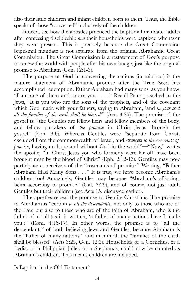also their little children and infant children born to them. Thus, the Bible speaks of those "converted" inclusively of the children.

Indeed, see how the apostles practiced the baptismal mandate: adults after confessing discipleship *and* their households were baptized whenever they were present. This is precisely because the Great Commission baptismal mandate is not separate from the original Abrahamic Great Commission. The Great Commission is a restatement of God's purpose to renew the world with people after his own image, just like the original promise to Abraham (Gen. 12:1-3).

The purpose of God in converting the nations (in missions) is the mature statement of Abrahamic promise after the True Seed has accomplished redemption. Father Abraham had many sons, as you know, "I am one of them and so are you . . . ." Recall Peter preached to the Jews, "It is you who are the sons of the prophets, and of the covenant which God made with your fathers, saying to Abraham, 'and *in your seed all the families of the earth shall be blessed*'" (Acts 3:25). The promise of the gospel is: "the Gentiles are fellow heirs and fellow members of the body, and fellow partakers of *the promise* in Christ Jesus through the gospel" (Eph. 3:6). Whereas Gentiles were "separate from Christ, excluded from the commonwealth of Israel, and *strangers to the covenants of promise*, having no hope and without God in the world"—"Now," writes the apostle, "in Christ Jesus you who formerly were far off have been brought near by the blood of Christ" (Eph. 2:12-13). Gentiles may now participate as receivers of the "covenants of promise." We sing, "Father Abraham Had Many Sons . . ." It is true, we have become Abraham's children too! Amazingly, Gentiles may become "Abraham's offspring, heirs according to promise" (Gal. 3:29), and of course, not just adult Gentiles but their children (see Acts 15, discussed earlier).

The apostles repeat the promise to Gentile Christians. The promise to Abraham is "certain *to all the descendants*, not only to those who are of the Law, but also to those who are of the faith of Abraham, who is the father of us all (as it is written, 'a father of many nations have I made you')" (Rom. 4:16-17). In other words, the promise is to "all the descendants" of both believing Jews and Gentiles, because Abraham is the "father of many nations," and in him all the "families of the earth shall be blessed" (Acts 3:25, Gen. 12:3). Households of a Cornelius, or a Lydia, or a Philippian Jailer, or a Stephanas, could now be counted as Abraham's children. This means children are included.

Is Baptism in the Old Testament?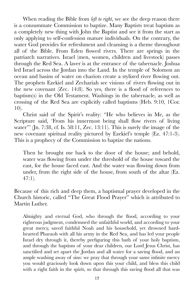When reading the Bible from *left to right*, we see the deep reason there is a consummate Commission to baptize. Many Baptists treat baptism as a completely new thing with John the Baptist and see it from the start as only applying to self-confession mature individuals. On the contrary, the water God provides for refreshment and cleansing is a theme throughout all of the Bible. From Eden flowed rivers. There are springs in the patriarch narratives. Israel (men, women, children and livestock) passes through the Red Sea. A laver is at the entrance of the tabernacle. Joshua led Israel across the Jordan into the Land. In the temple of Solomon an ocean and basins of water on chariots create a stylized river flowing out. The prophets Ezekiel and Zechariah see visions of rivers flowing out in the new covenant (Zec. 14:8). So yes, there is a flood of references to baptism(s) in the Old Testament. Washings in the tabernacle, as well as crossing of the Red Sea are explicitly called baptisms (Heb. 9:10, 1Cor. 10).

Christ said of the Spirit's reality: "He who believes in Me, as the Scripture said, 'From his innermost being shall flow rivers of living water" (Jn. 7:38, cf. Is. 58:11, Zec. 13:11). This is surely the image of the new covenant spiritual reality pictured by Ezekiel's temple (Ez. 47:1-3). This is a prophecy of the Commission to baptize the nations.

Then he brought me back to the door of the house; and behold, water was flowing from under the threshold of the house toward the east, for the house faced east. And the water was flowing down from under, from the right side of the house, from south of the altar (Ez.  $47:1$ ).

Because of this rich and deep them, a baptismal prayer developed in the Church historic, called "The Great Flood Prayer" which is attributed to Martin Luther.

Almighty and eternal God, who through the flood, according to your righteous judgment, condemned the unfaithful world, and according to your great mercy, saved faithful Noah and his household, yet drowned hardhearted Pharaoh with all his army in the Red Sea, and has led your people Israel dry through it, thereby prefiguring this bath of your holy baptism, and through the baptism of your dear children, our Lord Jesus Christ, has sanctified and set apart the Jordan and all water for a saving flood, and an ample washing away of sins: we pray that through your same infinite mercy you would graciously look down upon this your child, and bless this child with a right faith in the spirit, so that through this saving flood all that was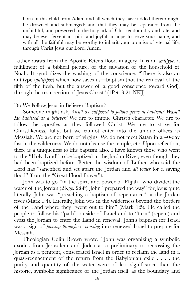born in this child from Adam and all which they have added thereto might be drowned and submerged; and that they may be separated from the unfaithful, and preserved in the holy ark of Christendom dry and safe, and may be ever fervent in spirit and joyful in hope to serve your name, and with all the faithful may be worthy to inherit your promise of eternal life, through Christ Jesus our Lord. Amen.

Luther draws from the Apostle Peter's flood imagery. It is an *antitype,* a fulfillment of a biblical picture, of the salvation of the household of Noah. It symbolizes the washing of the conscience. "There is also an antitype (*antitypos*) which now saves us—baptism (not the removal of the filth of the flesh, but the answer of a good conscience toward God), through the resurrection of Jesus Christ" (1Pet. 3:21 NKJ).

Do We Follow Jesus in Believer Baptism?

Someone might ask, *Aren't we supposed to follow Jesus in baptism? Wasn't He baptized as a believer?* We are to imitate Christ's character. We are to follow the apostles as they followed Christ. We are to strive for Christlikeness, fully; but we cannot enter into the unique offices as Messiah. We are not born of virgins. We do not meet Satan in a 40-day fast in the wilderness. We do not cleanse the temple, etc. Upon reflection, there is a uniqueness to His baptism also. I have known those who went to the "Holy Land" to be baptized in the Jordan River, even though they had been baptized before. Better the wisdom of Luther who said the Lord has "sanctified and set apart the Jordan and *all water* for a saving flood" (from the "Great Flood Prayer").

John was to go "in the spirit and power of Elijah" who divided the water of the Jordan (2Kgs. 2:8ff). John "prepared the way" for Jesus quite literally. John was "preaching a baptism of repentance" at the Jordan river (Mark 1:4). Literally, John was in the wilderness beyond the borders of the Land where they "went out to him" (Mark 1:5). He called the people to follow his "path" outside of Israel and to "turn" (repent) and cross the Jordan to enter the Land in renewal. John's baptism for Israel was a sign of *passing through* or *crossing* into renewed Israel to prepare for Messiah.

Theologian Colin Brown wrote, "John was organizing a symbolic exodus from Jerusalem and Judea as a preliminary to recrossing the Jordan as a penitent, consecrated Israel in order to reclaim the land in a quasi-reenactment of the return from the Babylonian exile . . . . the purity and quantity of the water were of less significance than the historic, symbolic significance of the Jordan itself as the boundary and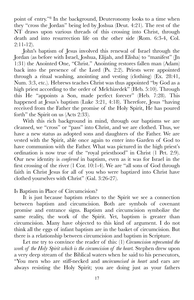point of entry."<sup>8</sup> In the background, Deuteronomy looks to a time when they "cross the Jordan" being led by Joshua (Deut. 4:21). The rest of the NT draws upon various threads of this crossing into Christ, through death and into resurrection life on the other side (Rom. 6:3-4, Col. 2:11-12).

John's baptism of Jesus involved this renewal of Israel through the Jordan (as before with Israel, Joshua, Elijah, and Elisha) to "manifest" (Jn 1:31) the Anointed One, "Christ." Anointing restores fallen man (Adam) back into the presence of the Lord (Ps. 2:2). Priests were appointed through a ritual washing, anointing and vesting (clothing) (Ex. 28:41, Num. 3:3, etc.). Hebrews teaches Christ was thus appointed "by God as a high priest according to the order of Melchizedek<sup>"</sup> (Heb. 5:10). Through this He "appoints a Son, made perfect forever" (Heb. 7:28). This happened at Jesus's baptism (Luke 3:21, 4:18). Therefore, Jesus "having received from the Father the promise of the Holy Spirit, He has poured forth" the Spirit on us (Acts 2:33).

With this rich background in mind, through our baptisms we are cleansed, we "cross" or "pass" into Christ, and we are clothed. Thus, we have a new status as adopted sons and daughters of the Father. We are vested with the Spirit, able once again to enter into Garden of God to have communion with the Father. What was pictured in the high priest's ordination is now true of the "royal priesthood" in Christ (1 Pet. 2:9). Our new identity is *conferred* in baptism, even as it was for Israel in the first crossing of the river (1 Cor. 10:1-4). We are "all sons of God through faith in Christ Jesus for all of you who were baptized into Christ have clothed yourselves with Christ" (Gal. 3:26-27).

#### Is Baptism in Place of Circumcision?

It is just because baptism relates to the Spirit we see a connection between baptism and circumcision. Both are symbols of covenant promise and entrance signs. Baptism and circumcision symbolize the same reality, the work of the Spirit. Yet, baptism is greater than circumcision. Many have objected to this kind of argument. I do not think all the eggs of infant baptism are in the basket of circumcision. But there is a relationship between circumcision and baptism in Scripture.

Let me try to convince the reader of this: (1) *Circumcision represented the work of the Holy Spirit which is the circumcision of the heart.* Stephen drew upon a very deep stream of the Biblical waters when he said to his persecutors, "You men who are stiff-necked and *uncircumcised in heart* and ears are always resisting the Holy Spirit; you are doing just as your fathers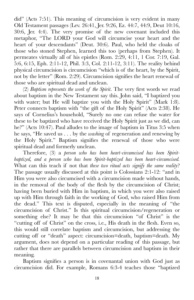did" (Acts 7:51). This meaning of circumcision is very evident in many Old Testament passages (Lev. 26:41, Jer. 9:26, Ez. 44:7, 44:9, Deut 10:16, 30:6, Jer. 4:4). The very promise of the new covenant included this metaphor, "The LORD your God will circumcise your heart and the heart of your descendants" (Deut. 30:6). Paul, who held the cloaks of those who stoned Stephen, learned this too (perhaps from Stephen). It permeates virtually all of his epistles (Rom. 2:29, 4:11, 1 Cor. 7:19, Gal. 5:6, 6:15, Eph. 2:11-12, Phil. 3:3, Col. 2:11-12, 3:11). The reality behind physical circumcision is circumcision "which is of the heart, by the Spirit, not by the letter" (Rom. 2:29). Circumcision signifies the heart renewal of those who are spiritual dead and unclean.

(2) *Baptism represents the work of the Spirit*. The very first words we read about baptism in the New Testament say this. John said, "I baptized you with water; but He will baptize you with the Holy Spirit" (Mark 1:8). Peter connects baptism with "the gift of the Holy Spirit" (Acts 2:38). He says of Cornelius's household, "Surely no one can refuse the water for these to be baptized who have received the Holy Spirit just as we did, can he?" (Acts 10:47). Paul alludes to the image of baptism in Titus 3:5 when he says, "He saved us . . . by the *washing* of regeneration and renewing by the Holy Spirit." Baptism signifies the renewal of those who were spiritual dead and formerly unclean.

Therefore, (3) a *person who has been heart-circumcised has been Spiritbaptized, and a person who has been Spirit-baptized has been heart-circumcised.* What can this teach if not that *these two ritual acts signify the same reality*? The passage usually discussed at this point is Colossians 2:1-12: "and in Him you were also circumcised with a circumcision made without hands, in the removal of the body of the flesh by the circumcision of Christ; having been buried with Him in baptism, in which you were also raised up with Him through faith in the working of God, who raised Him from the dead." This text is disputed, especially in the meaning of "the circumcision of Christ." Is this spiritual circumcision/regeneration or something else? It may be that this circumcision "of Christ" is the "cutting off of Christ" on the cross, i.e., His death in the flesh. Even so, this would still correlate baptism and circumcision, but addressing the cutting off or "death" aspect: circumcision=death, baptism=death. My argument, does not depend on a particular reading of this passage, but rather that there are parallels between circumcision and baptism in their meaning.

Baptism signifies a person is in covenantal union with God just as circumcision did. For example, Romans 6:3-4 teaches those "baptized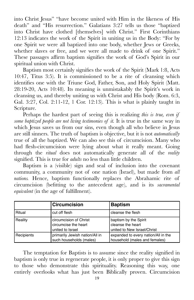into Christ Jesus" "have become united with Him in the likeness of His death" and "His resurrection." Galatians 3:27 tells us those "baptized into Christ have clothed [themselves] with Christ." First Corinthians 12:13 indicates the work of the Spirit in uniting us in the Body: "For by one Spirit we were all baptized into one body, whether Jews or Greeks, whether slaves or free, and we were all made to drink of one Spirit." These passages affirm baptism signifies the work of God's Spirit in our spiritual union with Christ.

Baptism most certainly signifies the work of the Spirit (Mark 1:8, Acts 10:47, Titus 3:5). It is commissioned to be a rite of cleansing which identifies one with the Triune God, Father, Son, and Holy Spirit (Matt. 28:19-20, Acts 10:48). Its meaning is unmistakably the Spirit's work in cleansing us, and thereby uniting us with Christ and His body (Rom. 6:3, Gal. 3:27, Col. 2:11-12, 1 Cor. 12:13). This is what is plainly taught in Scripture.

Perhaps the hardest part of seeing this is realizing *this is true, even if some baptized people are not living testimonies of it.* It is true in the same way in which Jesus saves us from our sins, even though all who believe in Jesus are still sinners. The truth of baptism is objective, but it is not *automatically* true of all the baptized. We can also see this of circumcision. Many who had flesh-circumcision were lying about what it really meant. Going through the *ritual* does not automatically generate all of the *reality*  signified. This is true for *adults* no less than little children.

Baptism is a (visible) sign and seal of inclusion into the covenant community, a community not of one nation (Israel), but made from *all nations.* Hence, baptism functionally replaces the Abrahamic rite of circumcision (befitting to the antecedent age), and is its *sacramental equivalent* (in the age of fulfillment).

|            | <b>Circumcision</b>                                                | <b>Baptism</b>                                                            |
|------------|--------------------------------------------------------------------|---------------------------------------------------------------------------|
| l Ritual   | cut off flesh                                                      | cleanse the flesh                                                         |
| Reality    | circumcision of Christ<br>circumcise the heart<br>united to Israel | baptism by the Spirit<br>cleanse the heart<br>united to New Israel/Christ |
| Recipients | primarily Jewish nation/All in<br>such households (males)          | expanded to every nation/All in the<br>household (males and females)      |

The temptation for Baptists is to assume since the reality signified in baptism is only true in regenerate people, it is only proper to give this sign to those who demonstrate this spirituality. Reasoning this way, one entirely overlooks what has just been Biblically proven. Circumcision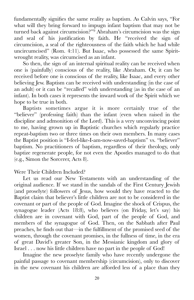fundamentally signifies the same reality as baptism. As Calvin says, "For what will they bring forward to impugn infant baptism that may not be turned back against circumcision?"<sup>9</sup> Abraham's circumcision was the sign and seal of his justification by faith. He "received the sign of circumcision, a seal of the righteousness of the faith which he had while uncircumcised" (Rom. 4:11). But Isaac, who possessed the same Spiritwrought reality, was circumcised as an infant.

So then, the sign of an internal spiritual reality can be received when one is (painfully) conscious of the reality, like Abraham. Or, it can be received before one is conscious of the reality, like Isaac, and every other believing Jew. Baptism can be received with understanding (in the case of an adult) or it can be "recalled" with understanding (as in the case of an infant). In both cases it represents the inward work of the Spirit which we hope to be true in both.

Baptists sometimes argue it is more certainly true of the "believer" (professing faith) than the infant (even when raised in the discipline and admonition of the Lord). This is a very unconvincing point to me, having grown up in Baptistic churches which regularly practice repeat-baptism two or three times on their own members. In many cases the Baptist position is "I-feel-like-I-am-now-saved-baptism" vs. "believer" baptism. No practitioners of baptism, regardless of their theology, only baptize regenerate people, for not even the Apostles managed to do that (e.g., Simon the Sorcerer, Acts 8).

#### Were Their Children Included?

Let us read our New Testaments with an understanding of the original audience. If we stand in the sandals of the First Century Jewish (and proselyte) followers of Jesus, how would they have reacted to the Baptist claim that believer's little children are not to be considered in the covenant or part of the people of God. Imagine the shock of Crispus, the synagogue leader (Acts 18:8), who believes (on Friday, let's say) his children are in covenant with God, part of the people of God, and members of the synagogue of God. Then, on the Sabbath after Paul preaches, he finds out that—in the fulfillment of the promised seed of the women, through the covenant promises, in the fullness of time, in the era of great David's greater Son, in the Messianic kingdom and glory of Israel . . . now his little children have no part in the people of God!

Imagine the new proselyte family who have recently undergone the painful passage to covenant membership (circumcision), only to discover in the new covenant his children are afforded less of a place than they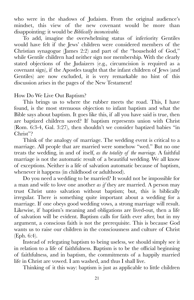who were in the shadows of Judaism. From the original audience's mindset, this view of the new covenant would be more than disappointing: it would be *Biblically inconceivable.*

To add, imagine the overwhelming status of inferiority Gentiles would have felt if the Jews' children were considered members of the Christian synagogue (James 2:2) and part of the "household of God," while Gentile children had neither sign nor membership. With the clearly stated objections of the Judaizers (e.g., circumcision is required as a covenant sign), if the Apostles taught that the infant children of Jews (and Gentiles) are now excluded, it is very remarkable no hint of this discussion arises in the pages of the New Testament!

### How Do We Live Out Baptism?

This brings us to where the rubber meets the road. This, I have found, is the most strenuous objection to infant baptism and what the Bible says about baptism. It goes like this, if all you have said is true, then are baptized children saved? If baptism represents union with Christ (Rom. 6:3-4, Gal. 3:27), then shouldn't we consider baptized babies "in Christ"?

Think of the analogy of marriage. The wedding event is critical to a marriage. All people that are married were somehow "wed." But no one treats the wedding, in and of itself, *as the totality of the marriage.* A faithful marriage is not the automatic result of a beautiful wedding. We all know of exceptions. Neither is a life of salvation automatic because of baptism, whenever it happens (in childhood or adulthood).

Do you need a wedding to be married? It would not be impossible for a man and wife to love one another *as if* they are married. A person may trust Christ unto salvation without baptism; but, this is biblically irregular. There is something quite important about a wedding for a marriage. If one obeys good wedding vows, a strong marriage will result. Likewise, if baptism's meaning and obligations are lived-out, then a life of salvation will be evident. Baptism calls for faith ever after, but in my argument, a conscious faith is not the prerequisite. This is because God wants us to raise our children in the consciousness and culture of Christ (Eph. 6:4).

Instead of relegating baptism to being useless, we should simply see it in relation to a life of faithfulness. Baptism is to be the official beginning of faithfulness, and in baptism, the commitments of a happily married life in Christ are vowed. I am washed, and thus I shall live.

Thinking of it this way: baptism is just as applicable to little children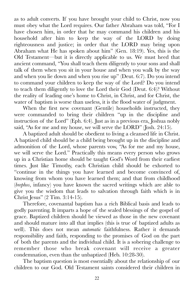as to adult converts. If you have brought your child to Christ, now you must obey what the Lord requires. Our father Abraham was told, "For I have chosen him, in order that he may command his children and his household after him to keep the way of the LORD by doing righteousness and justice; in order that the LORD may bring upon Abraham what He has spoken about him" (Gen. 18:19). Yes, this is the Old Testament—but it is directly applicable to us. We must heed that ancient command, "You shall teach them diligently to your sons and shall talk of them when you sit in your house and when you walk by the way and when you lie down and when you rise up" (Deut. 6:7). Do you intend to command your children to keep the way of the Lord? Do you intend to teach them diligently to love the Lord their God (Deut. 6:4)? Without the reality of leading one's home to Christ, in Christ, and for Christ, the water of baptism is worse than useless, it is the flood water of judgment.

When the first new covenant (Gentile) households instructed, they were commanded to bring their children "up in the discipline and instruction of the Lord" (Eph. 6:4). Just as in a previous era, Joshua nobly said, "As for me and my house, we will serve the LORD" (Josh. 24:15).

A baptized adult should be obedient to living a cleansed life in Christ. A baptized child should be a child being brought up in the discipline and admonition of the Lord, whose parents vow, "As for me and my house, we will serve the Lord." Practically this means every person who grows up in a Christian home should be taught God's Word from their earliest times. Just like Timothy, each Christian child should be exhorted to "continue in the things you have learned and become convinced of, knowing from whom you have learned them; and that from childhood (*brephos*, infancy) you have known the sacred writings which are able to give you the wisdom that leads to salvation through faith which is in Christ Jesus" (2 Tim. 3:14-15).

Therefore, covenantal baptism has a rich Biblical basis and leads to godly parenting. It imparts a hope of the sealed blessings of the gospel of grace. Baptized children should be viewed as those in the new covenant and should mature into all that implies (this is true of baptized adults as well). This does not mean *automatic* faithfulness. Rather it demands responsibility and faith, responding to the promises of God on the part of both the parents and the individual child. It is a sobering challenge to remember those who break covenant will receive a greater condemnation, even than the unbaptized (Heb. 10:28-30).

The baptism question is most essentially about the relationship of our children to our God. Old Testament saints considered their children in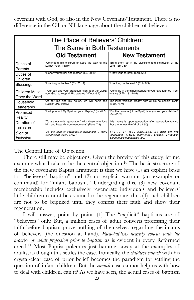covenant with God, so also in the New Covenant/Testament. There is no difference in the OT or NT language about the children of believers.

| The Place of Believers' Children:<br>The Same in Both Testaments |                                                                                                     |                                                                                                                                 |  |  |
|------------------------------------------------------------------|-----------------------------------------------------------------------------------------------------|---------------------------------------------------------------------------------------------------------------------------------|--|--|
|                                                                  | <b>Old Testament</b>                                                                                | <b>New Testament</b>                                                                                                            |  |  |
| Duties of<br>Parents                                             | "Command his children to keep the way of the<br>LORD" (Gen. 18:19)                                  | "Bring them up in the discipline and instruction of the<br>Lord" (Eph. 6:4)                                                     |  |  |
| Duties of<br>Children                                            | "Honor your father and mother" (Ex. 20:12)                                                          | "Obey your parents" (Eph. 6:2)                                                                                                  |  |  |
| <b>Blessings</b>                                                 | "Live long in the land" (Ex. 20:12)                                                                 | "Live long on the earth" (Eph. 6:3)                                                                                             |  |  |
| Children Must<br>Obey the Word                                   | "Your son and your grandson might fear the LORD<br>your God, to keep all His statutes " (Deut. 6:2) | "Continue in the things [Scripture] you have learned" from<br>infancy (2 Tim. 3:14-15)                                          |  |  |
| Household<br>Leadership                                          | "As for me and my house, we will serve the<br>LORD" (Jos. 24:15)                                    | The jailer "rejoiced greatly, with all his household" (Acts<br>16:34, ASV)                                                      |  |  |
| Promised<br>Reality                                              | "I will pour out My Spirit on your offspring" (Is. 44:3)                                            | "For the promise [of the Spirit] is to you and your children"<br>(Acts 2:39)                                                    |  |  |
| Duration of<br>Inclusion                                         | "To a thousandth generation" with those who love<br>Him and keep His commandments" (Deut. 7:9)      | "His mercy is upon generation after generation toward<br>those who fear Him" (Luke 1:50)                                        |  |  |
| Sign of<br>Inclusion                                             | "All the men of [Abraham's] household.were<br>circumcised" (Gen. 17:27)                             | The jailer "was baptized, he and all his<br>household" (16:33) (Cornelius', Lydia's, Crispus's,<br>Stephanus's households, too) |  |  |

The Central Line of Objection

There still may be objections. Given the brevity of this study, let me examine what I take to be the central objection.<sup>10</sup> The basic structure of the (new covenant) Baptist argument is this: we have (1) an explicit basis for "believers' baptism" and (2) no explicit warrant (an example or command) for "infant baptism." Undergirding this, (3) new covenant membership includes exclusively regenerate individuals and believers' little children cannot be assumed to be regenerate, thus (4) such children are not to be baptized until they confess their faith and show their regeneration.

I will answer, point by point. (1) The "explicit" baptisms are of "believers" only. But, a million cases of adult converts professing their faith before baptism prove nothing of themselves, regarding the infants of believers (the question at hand). *Paedobaptists heartily concur with the practice of adult profession prior to baptism* as is evident in every Reformed creed!<sup>11</sup> Most Baptist polemics just hammer away at the examples of adults, as though this settles the case. Ironically, the *childless eunuch* with his crystal-clear case of prior belief becomes the paradigm for settling the question of infant children. But the *eunuch* case cannot help us with how to deal with children, can it? As we have seen, the actual cases of baptism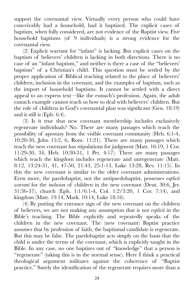support the covenantal view. Virtually every person who could have conceivably had a household, had it baptized. The explicit cases of baptism, when fully considered, are not evidence of the Baptist view. Five household baptisms (of 9 individuals) is a strong evidence for the covenantal view.

(2) Explicit warrant for "infant" is lacking. But explicit cases on the baptism of believers' children is lacking in both directions. There is no case of an "infant baptism," and neither is there a case of the "believers' baptism" of a Christian's child. This question must be settled by the proper application of Biblical teaching related to the place of believers' children, inclusion in the covenant, and the examples of baptism, such as the import of household baptisms. It cannot be settled with a direct appeal to an express text—like the eunuch's profession. Again, the adult eunuch example cannot teach us how to deal with believers' children. But the role of children in God's covenantal plan was significant (Gen. 18:19) and it still is (Eph. 6:4).

(3) Is it true that new covenant membership includes exclusively regenerate individuals? No. There are many passages which teach the possibility of apostasy from the visible covenant community (Heb. 6:1-4, 10:28-30, John 15:2, 6, Rom. 11:21). There are many passages which teach the new covenant has stipulations for judgment (Matt. 16:19, 1 Cor. 11:29-30, 34, Heb. 10:30-31, 1 Pet. 4:17). There are many passages which teach the kingdom includes regenerate and unregenerate (Matt. 8:12, 13:24-31, 41, 47-50, 21:43, 25:1-13, Luke 13:28, Rev. 11:15). In this the new covenant is similar to the older covenant administrations. Even more, the paedobaptist, not the antipaedobaptist, possesses *explicit warrant* for the *inclusion* of children in the new covenant (Deut. 30:6, Jer. 31:36-37), church (Eph. 1:1/6:1-4, Col. 1:2/3:20, 1 Cor. 7:14), and kingdom (Matt. 19:14, Mark. 10:14, Luke 18:16).

(4) By putting the entrance sign of the new covenant on the children of believers, we are not making any assumption that is not *explicit* in the Bible's teaching. The Bible explicitly and repeatedly speaks of the children in the new covenant. The (new covenant) Baptist practice assumes that by profession of faith, the baptismal candidate is regenerate. But this may be false. The paedobaptist acts simply on the basis that the child is under the terms of the covenant, which is explicitly taught in the Bible. In any case, no one baptizes out of "knowledge" that a person is "regenerate" (taking this is in the normal sense). Here I think a practical theological argument militates against the coherence of "Baptist practice." Surely the identification of the regenerate requires more than a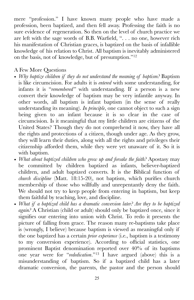mere "profession." I have known many people who have made a profession, been baptized, and then fell away. Professing the faith is no sure evidence of regeneration. So then on the level of church practice we are left with the sage words of B.B. Warfield, ". . . no one, however rich his manifestation of Christian graces, is baptized on the basis of infallible knowledge of his relation to Christ. All baptism is inevitably administered on the basis, not of knowledge, but of presumption."12

## A Few More Questions

- *Why baptize children if they do not understand the meaning of baptism?* Baptism is like circumcision. For adults it is *entered* with some understanding, for infants it is "*remembered"* with understanding. If a person is a new convert their knowledge of baptism may be very infantile anyway. In other words, all baptism is infant baptism (in the sense of really understanding its meaning). *In principle*, one cannot object to such a sign being given to an infant because it is so clear in the case of circumcision. Is it meaningful that my little children are citizens of the United States? Though they do not comprehend it now, they have all the rights and protections of a citizen, though under age. As they grow, they will learn their duties, along with all the rights and privileges their citizenship afforded them, while they were yet unaware of it. So it is with baptism.
- *What about baptized children who grow up and forsake the faith?* Apostasy may be committed by children baptized as infants, believer-baptized children, and adult baptized converts. It is the Biblical function of *church discipline* (Matt. 18:15-20), not baptism, which purifies church membership of those who willfully and unrepentantly deny the faith. We should not try to keep people from entering in baptism, but keep them faithful by teaching, love, and discipline.
- *What if a baptized child has a dramatic conversion later? Are they to be baptized again?* A Christian (child or adult) should only be baptized once, since it signifies our entering into union with Christ. To redo it presents the picture of falling from grace. The reason many re-baptisms take place is (wrongly, I believe) because baptism is viewed as meaningful only if the one baptized has a certain *prior experience* (i.e., baptism is a testimony to my conversion experience). According to official statistics, one prominent Baptist denomination reported over 40% of its baptisms one year were for "*rededication*."<sup>13</sup>  $\overline{1}$  have argued (above) this is a misunderstanding of baptism. So if a baptized child has a later dramatic conversion, the parents, the pastor and the person should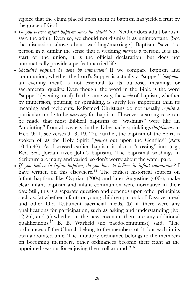rejoice that the claim placed upon them at baptism has yielded fruit by the grace of God.

- *Do you believe infant baptism saves the child?* No. Neither does adult baptism save the adult. Even so, we should not dismiss it as unimportant. (See the discussion above about wedding/marriage.) Baptism "saves" a person in a similar the sense that a wedding *marries* a person. It is the start of the union, it is the official declaration, but does not automatically provide a perfect married life.
- *Shouldn't baptism be done by immersion?* If we compare baptism and communion, whether the Lord's Supper is actually a "supper" (*deipnon,*  an evening meal) is not essential to its purpose, meaning, or sacramental quality. Even though, the word in the Bible is the word "supper" (evening meal). In the same way, the *mode* of baptism, whether by immersion, pouring, or sprinkling, is surely less important than its meaning and recipients. Reformed Christians do not usually *require* a particular mode to be *necessary* for baptism. However, a strong case can be made that most Biblical baptisms or "washings" were like an "anointing" from above, e.g., in the Tabernacle sprinklings (*baptismois* in Heb. 9:11, see verses 9:13, 19, 22). Further, the baptism of the Spirit is spoken of as the Holy Spirit "*poured* out upon the Gentiles" (Acts 10:45-47). As discussed earlier, baptism is also a "crossing" into (e.g., Red Sea, Jordan river, John's baptism). The baptismal washings in Scripture are many and varied, so don't worry about the water part.
- *If you believe in infant baptism, do you have to believe in infant communion?* I have written on this elsewhere.<sup>14</sup> The earliest historical sources on infant baptism, like Cyprian (200s) and later Augustine (400s), make clear infant baptism and infant communion were normative in their day. Still, this is a separate question and depends upon other principles such as: (a) whether infants or young children partook of Passover meal and other Old Testament sacrificial meals, (b) if there were any qualifications for participation, such as asking and understanding (Ex. 12:26), and (c) whether in the new covenant there are any additional qualifications.<sup>15</sup> B. B. Warfield (no paedocommunist) said, "The ordinances of the Church belong to the members of it; but each in its own appointed time. The initiatory ordinance belongs to the members on becoming members, other ordinances become their right as the appointed seasons for enjoying them roll around."16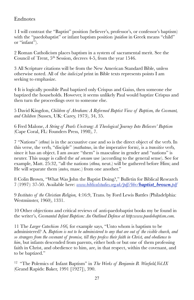## Endnotes

1 I will contrast the "Baptist" position (believer's, professor's, or confessor's baptism) with the "paedobaptist" or infant baptism position (*paidion* in Greek means "child" or "infant").

2 Roman Catholicism places baptism in a system of sacramental merit. See the Council of Trent, 5th Session, decrees 4-5, from the year 1546.

3 All Scripture citations will be from the New American Standard Bible, unless otherwise noted. All of the *italicized* print in Bible texts represents points I am seeking to emphasize.

4 It is logically possible Paul baptized only Crispus and Gaius, then someone else baptized the households. However, it seems unlikely Paul would baptize Crispus and then turn the proceedings over to someone else.

5 David Kingdon, *Children of Abraham: A Reformed Baptist View of Baptism, the Covenant, and Children* (Sussex, UK: Carey, 1973), 34, 35.

6 Fred Malone, *A String of Pearls Unstrung: A Theological Journey Into Believers' Baptism*  (Cape Coral, FL: Founders Press, 1998), 7.

7 "Nations" (*ethna*) is in the accusative case and so is the direct object of the verb. In this verse, the verb, "disciple" (*mathateuo*, in the imperative form), is a *transitive* verb, since it has an object. I am aware "them" is masculine in gender and "nations" is neuter. This usage is called the *ad sensum* use (according to the general sense). See for example, Matt. 25:32, "all the nations (*ethna,* neut.) will be gathered before Him; and He will separate them (*autos,* masc.) from one another."

8 Colin Brown, "What Was John the Baptist Doing?," Bulletin for Biblical Research 7 (1997): 37-50. Available here: *[www.biblicalstudies.org.uk/pdf/bbr/](http://www.biblicalstudies.org.uk/pdf/bbr/baptist_brown.pdf)baptist\_brown.pdf*

9 *Institutes of the Christian Religion,* 4:16:9, Trans. by Ford Lewis Battles (Philadelphia: Westminster, 1960), 1331.

10 Other objections and critical reviews of anti-paedobaptist books my be found in the writer's, *Covenantal Infant Baptism: An Outlined Defense at http:www.paedobaptism.com.*

11 The *Larger Catechism 166,* for example says, "Unto whom is baptism to be administered? A. *Baptism is not to be administered to any that are out of the visible church, and so strangers from the covenant of promise, till they profess their faith in Christ, and obedience to him*, but infants descended from parents, either both or but one of them professing faith in Christ, and obedience to him, are, in that respect, within the covenant, and to be baptized."

<sup>12</sup> "The Polemics of Infant Baptism" in *The Works of Benjamin B. Warfield, Vol.IX* (Grand Rapids: Baker, 1991 [1927]), 390.